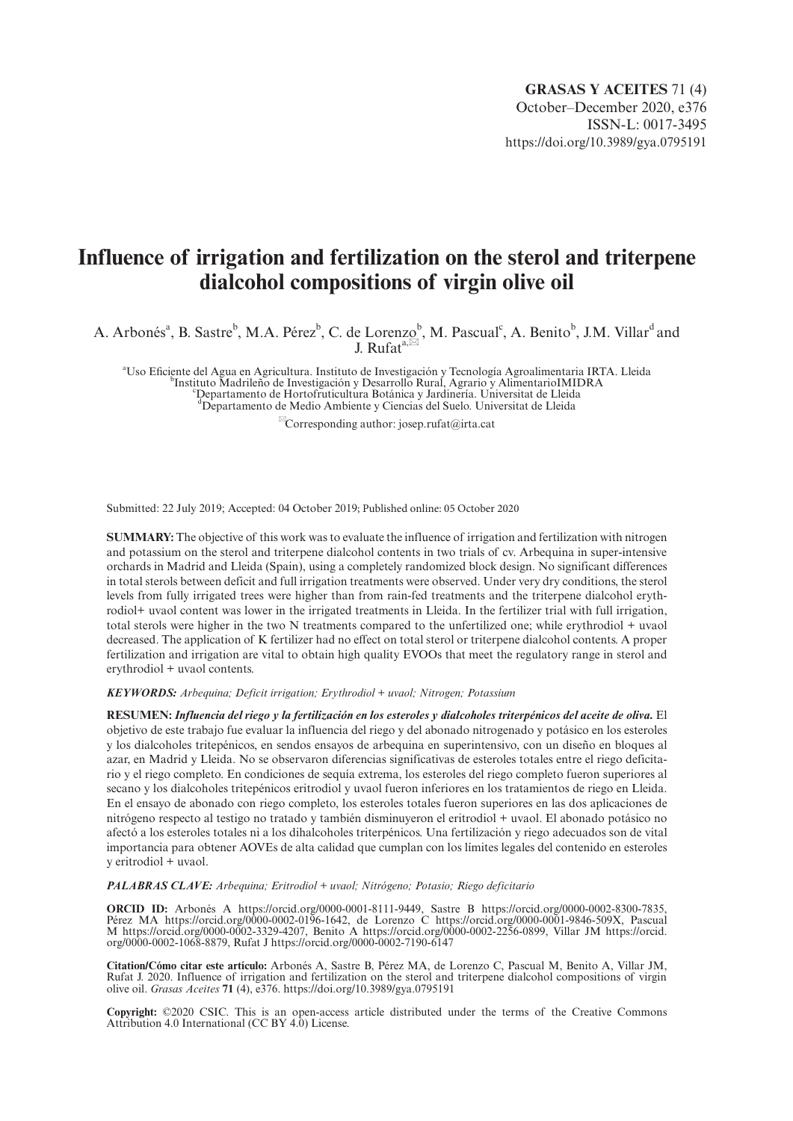# **Influence of irrigation and fertilization on the sterol and triterpene dialcohol compositions of virgin olive oil**

A. Arbonés<sup>a</sup>, B. Sastre<sup>b</sup>, M.A. Pérez<sup>b</sup>, C. de Lorenzob, M. Pascual<sup>c</sup>, A. Benitob, J.M. Villar<sup>d</sup> and J. Rufat<sup>a, $\approx$ </sup>

<sup>a</sup> Uso Eficiente del Agua en Agricultura. Instituto de Investigación y Tecnología Agroalimentaria IRTA. Lleida<br>Presidente del Aguardia de Investigación y Desenvollo Bural, Agrazio y Alimentaria IMIDRA Instituto Madrileño de Investigación y Desarrollo Rural, Agrario y AlimentarioIMIDRA <sup>c</sup> Departamento de Hortofruticultura Botánica y Jardinería. Universitat de Lleida d Departamento de Medio Ambiente y Ciencias del Suelo. Universitat de Lleida

 $^{\boxtimes}$ Corresponding author: [josep.rufat@irta.cat](mailto:josep.rufat@irta.cat)

Submitted: 22 July 2019; Accepted: 04 October 2019; Published online: 05 October 2020

**SUMMARY:** The objective of this work was to evaluate the influence of irrigation and fertilization with nitrogen and potassium on the sterol and triterpene dialcohol contents in two trials of cv. Arbequina in super-intensive orchards in Madrid and Lleida (Spain), using a completely randomized block design. No significant differences in total sterols between deficit and full irrigation treatments were observed. Under very dry conditions, the sterol levels from fully irrigated trees were higher than from rain-fed treatments and the triterpene dialcohol erythrodiol+ uvaol content was lower in the irrigated treatments in Lleida. In the fertilizer trial with full irrigation, total sterols were higher in the two N treatments compared to the unfertilized one; while erythrodiol + uvaol decreased. The application of K fertilizer had no effect on total sterol or triterpene dialcohol contents. A proper fertilization and irrigation are vital to obtain high quality EVOOs that meet the regulatory range in sterol and erythrodiol + uvaol contents.

*KEYWORDS: Arbequina; Deficit irrigation; Erythrodiol + uvaol; Nitrogen; Potassium*

**RESUMEN:** *Influencia del riego y la fertilización en los esteroles y dialcoholes triterpénicos del aceite de oliva.* El objetivo de este trabajo fue evaluar la influencia del riego y del abonado nitrogenado y potásico en los esteroles y los dialcoholes tritepénicos, en sendos ensayos de arbequina en superintensivo, con un diseño en bloques al azar, en Madrid y Lleida. No se observaron diferencias significativas de esteroles totales entre el riego deficitario y el riego completo. En condiciones de sequía extrema, los esteroles del riego completo fueron superiores al secano y los dialcoholes tritepénicos eritrodiol y uvaol fueron inferiores en los tratamientos de riego en Lleida. En el ensayo de abonado con riego completo, los esteroles totales fueron superiores en las dos aplicaciones de nitrógeno respecto al testigo no tratado y también disminuyeron el eritrodiol + uvaol. El abonado potásico no afectó a los esteroles totales ni a los dihalcoholes triterpénicos. Una fertilización y riego adecuados son de vital importancia para obtener AOVEs de alta calidad que cumplan con los límites legales del contenido en esteroles y eritrodiol + uvaol.

*PALABRAS CLAVE: Arbequina; Eritrodiol + uvaol; Nitrógeno; Potasio; Riego deficitario*

**ORCID ID:** Arbonés A <https://orcid.org/0000-0001-8111-9449>, Sastre B [https://orcid.org/0000-0002-8300-7835,](https://orcid.org/0000-0002-8300-7835) Pérez MA [https://orcid.org/0000-0002-0196-1642,](https://orcid.org/0000-0002-0196-1642) de Lorenzo C [https://orcid.org/0000-0001-9846-509X,](https://orcid.org/0000-0001-9846-509X) Pascual M <https://orcid.org/0000-0002-3329-4207>, Benito A [https://orcid.org/0000-0002-2256-0899,](https://orcid.org/0000-0002-2256-0899) Villar JM [https://orcid.](https://orcid.org/0000-0002-1068-8879) [org/0000-0002-1068-8879,](https://orcid.org/0000-0002-1068-8879) Rufat J <https://orcid.org/0000-0002-7190-6147>

**Citation/Cómo citar este artículo:** Arbonés A, Sastre B, Pérez MA, de Lorenzo C, Pascual M, Benito A, Villar JM, Rufat J. 2020. Influence of irrigation and fertilization on the sterol and triterpene dialcohol compositions of virgin olive oil. *Grasas Aceites* **71** (4), e376. <https://doi.org/10.3989/gya.0795191>

**Copyright:** ©2020 CSIC. This is an open-access article distributed under the terms of the Creative Commons Attribution 4.0 International (CC BY 4.0) License.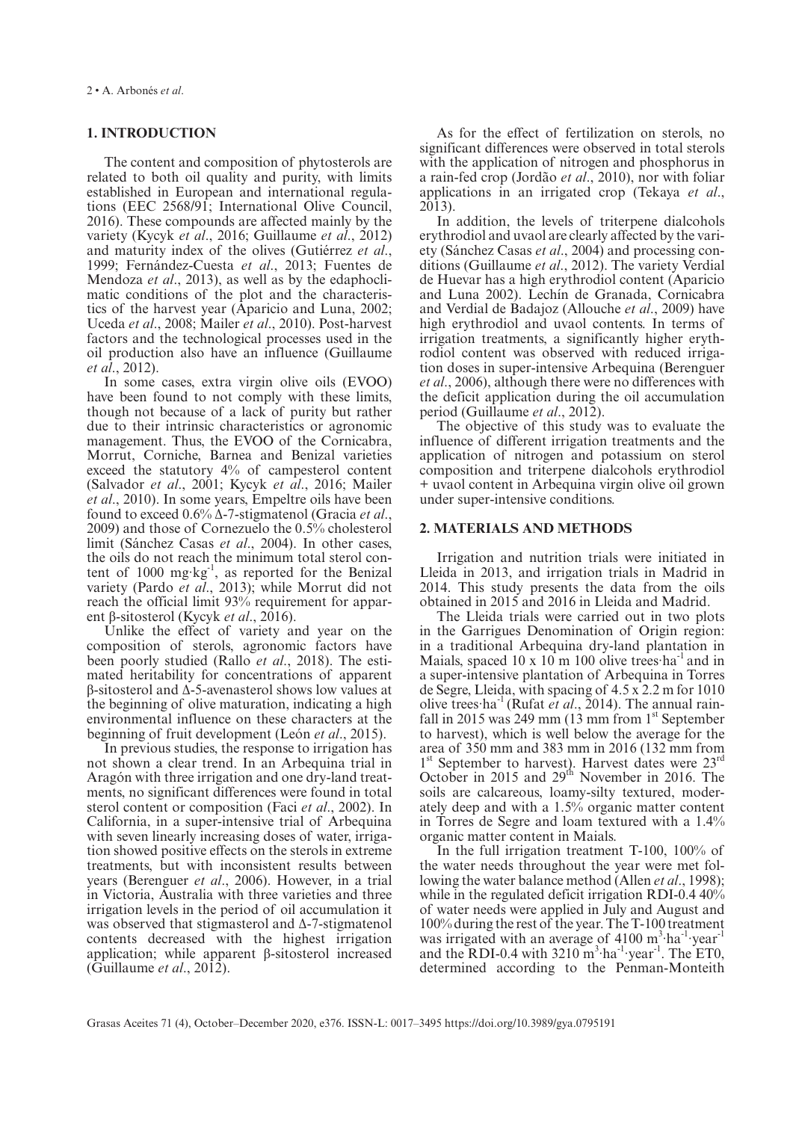## **1. INTRODUCTION**

The content and composition of phytosterols are related to both oil quality and purity, with limits established in European and international regulations (EEC 2568/91; International Olive Council, 2016). These compounds are affected mainly by the variety (Kycyk *et al*., 2016; Guillaume *et al*., 2012) and maturity index of the olives (Gutiérrez *et al*., 1999; Fernández-Cuesta *et al*., 2013; Fuentes de Mendoza *et al*., 2013), as well as by the edaphoclimatic conditions of the plot and the characteristics of the harvest year (Aparicio and Luna, 2002; Uceda *et al*., 2008; Mailer *et al*., 2010). Post-harvest factors and the technological processes used in the oil production also have an influence (Guillaume *et al*., 2012).

In some cases, extra virgin olive oils (EVOO) have been found to not comply with these limits, though not because of a lack of purity but rather due to their intrinsic characteristics or agronomic management. Thus, the EVOO of the Cornicabra, Morrut, Corniche, Barnea and Benizal varieties exceed the statutory 4% of campesterol content (Salvador *et al*., 2001; Kycyk *et al*., 2016; Mailer *et al*., 2010). In some years, Empeltre oils have been found to exceed 0.6% Δ-7-stigmatenol (Gracia *et al*., 2009) and those of Cornezuelo the 0.5% cholesterol limit (Sánchez Casas *et al*., 2004). In other cases, the oils do not reach the minimum total sterol content of  $1000 \text{ mg} \cdot \text{kg}^{-1}$ , as reported for the Benizal variety (Pardo *et al*., 2013); while Morrut did not reach the official limit 93% requirement for apparent β-sitosterol (Kycyk *et al*., 2016).

Unlike the effect of variety and year on the composition of sterols, agronomic factors have been poorly studied (Rallo *et al*., 2018). The estimated heritability for concentrations of apparent β-sitosterol and Δ-5-avenasterol shows low values at the beginning of olive maturation, indicating a high environmental influence on these characters at the beginning of fruit development (León *et al*., 2015).

In previous studies, the response to irrigation has not shown a clear trend. In an Arbequina trial in Aragón with three irrigation and one dry-land treatments, no significant differences were found in total sterol content or composition (Faci *et al*., 2002). In California, in a super-intensive trial of Arbequina with seven linearly increasing doses of water, irrigation showed positive effects on the sterols in extreme treatments, but with inconsistent results between years (Berenguer *et al*., 2006). However, in a trial in Victoria, Australia with three varieties and three irrigation levels in the period of oil accumulation it was observed that stigmasterol and Δ-7-stigmatenol contents decreased with the highest irrigation application; while apparent β-sitosterol increased (Guillaume *et al*., 2012).

As for the effect of fertilization on sterols, no significant differences were observed in total sterols with the application of nitrogen and phosphorus in a rain-fed crop (Jordão *et al*., 2010), nor with foliar applications in an irrigated crop (Tekaya *et al*., 2013).

In addition, the levels of triterpene dialcohols erythrodiol and uvaol are clearly affected by the variety (Sánchez Casas *et al*., 2004) and processing conditions (Guillaume *et al*., 2012). The variety Verdial de Huevar has a high erythrodiol content (Aparicio and Luna 2002). Lechín de Granada, Cornicabra and Verdial de Badajoz (Allouche *et al*., 2009) have high erythrodiol and uvaol contents. In terms of irrigation treatments, a significantly higher erythrodiol content was observed with reduced irrigation doses in super-intensive Arbequina (Berenguer *et al*., 2006), although there were no differences with the deficit application during the oil accumulation period (Guillaume *et al*., 2012).

The objective of this study was to evaluate the influence of different irrigation treatments and the application of nitrogen and potassium on sterol composition and triterpene dialcohols erythrodiol + uvaol content in Arbequina virgin olive oil grown under super-intensive conditions.

## **2. MATERIALS AND METHODS**

Irrigation and nutrition trials were initiated in Lleida in 2013, and irrigation trials in Madrid in 2014. This study presents the data from the oils obtained in 2015 and 2016 in Lleida and Madrid.

The Lleida trials were carried out in two plots in the Garrigues Denomination of Origin region: in a traditional Arbequina dry-land plantation in Maials, spaced 10 x 10 m 100 olive trees ha<sup>-1</sup> and in a super-intensive plantation of Arbequina in Torres de Segre, Lleida, with spacing of 4.5 x 2.2 m for 1010 olive trees·ha-1 (Rufat *et al*., 2014). The annual rainfall in 2015 was 249 mm (13 mm from  $1<sup>st</sup>$  September to harvest), which is well below the average for the area of 350 mm and 383 mm in 2016 (132 mm from 1<sup>st</sup> September to harvest). Harvest dates were 23<sup>rd</sup> October in 2015 and  $29<sup>th</sup>$  November in 2016. The soils are calcareous, loamy-silty textured, moderately deep and with a 1.5% organic matter content in Torres de Segre and loam textured with a 1.4% organic matter content in Maials.

In the full irrigation treatment T-100, 100% of the water needs throughout the year were met following the water balance method (Allen *et al*., 1998); while in the regulated deficit irrigation RDI-0.4 40% of water needs were applied in July and August and 100% during the rest of the year. The T-100 treatment was irrigated with an average of  $4100 \text{ m}^3 \cdot \text{ha}^{-1} \cdot \text{year}^{-1}$ and the RDI-0.4 with  $3210 \text{ m}^3 \cdot \text{ha}^{-1} \cdot \text{year}^{-1}$ . The ET0, determined according to the Penman-Monteith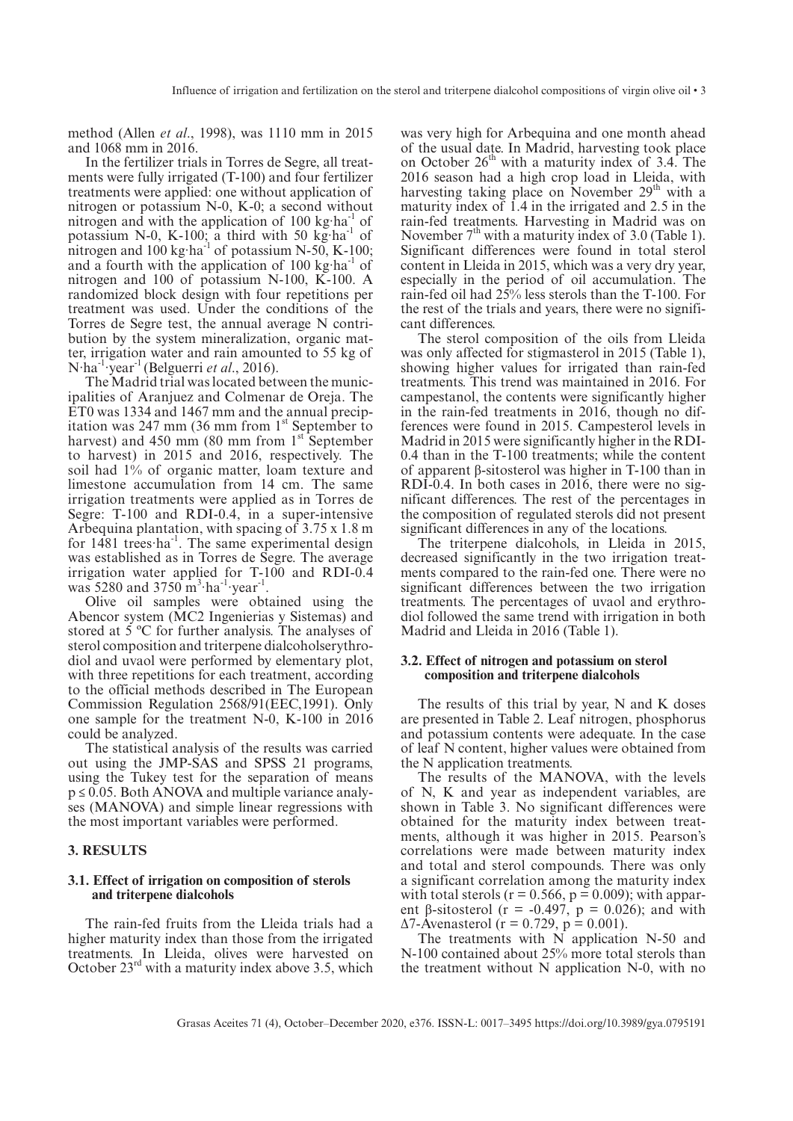method (Allen *et al*., 1998), was 1110 mm in 2015 and 1068 mm in 2016.

In the fertilizer trials in Torres de Segre, all treatments were fully irrigated (T-100) and four fertilizer treatments were applied: one without application of nitrogen or potassium N-0, K-0; a second without nitrogen and with the application of  $100 \text{ kg} \cdot \text{ha}^{-1}$  of potassium N-0, K-100; a third with 50 kg·ha<sup>-1</sup> of nitrogen and  $100 \text{ kg} \cdot \text{ha}^{-1}$  of potassium N-50, K-100; and a fourth with the application of  $100 \text{ kg} \cdot \text{ha}^{-1}$  of nitrogen and 100 of potassium N-100, K-100. A randomized block design with four repetitions per treatment was used. Under the conditions of the Torres de Segre test, the annual average N contribution by the system mineralization, organic matter, irrigation water and rain amounted to 55 kg of N·ha-1 ·year -1 (Belguerri *et al*., 2016).

The Madrid trial was located between the municipalities of Aranjuez and Colmenar de Oreja. The ET0 was 1334 and 1467 mm and the annual precipitation was 247 mm (36 mm from  $1<sup>st</sup>$  September to harvest) and 450 mm (80 mm from  $1<sup>st</sup>$  September to harvest) in 2015 and 2016, respectively. The soil had 1% of organic matter, loam texture and limestone accumulation from 14 cm. The same irrigation treatments were applied as in Torres de Segre: T-100 and RDI-0.4, in a super-intensive Arbequina plantation, with spacing of 3.75 x 1.8 m for 1481 trees ha<sup>-1</sup>. The same experimental design was established as in Torres de Segre. The average irrigation water applied for T-100 and RDI-0.4 was 5280 and 3750  $\text{m}^3 \cdot \text{ha}^{-1} \cdot \text{year}^{-1}$ .

Olive oil samples were obtained using the Abencor system (MC2 Ingenierias y Sistemas) and stored at 5 ºC for further analysis. The analyses of sterol composition and triterpene dialcoholserythrodiol and uvaol were performed by elementary plot, with three repetitions for each treatment, according to the official methods described in The European Commission Regulation 2568/91(EEC,1991). Only one sample for the treatment N-0, K-100 in 2016 could be analyzed.

The statistical analysis of the results was carried out using the JMP-SAS and SPSS 21 programs, using the Tukey test for the separation of means  $p \le 0.05$ . Both ANOVA and multiple variance analyses (MANOVA) and simple linear regressions with the most important variables were performed.

## **3. RESULTS**

### **3.1. Effect of irrigation on composition of sterols and triterpene dialcohols**

The rain-fed fruits from the Lleida trials had a higher maturity index than those from the irrigated treatments. In Lleida, olives were harvested on October  $23<sup>rd</sup>$  with a maturity index above 3.5, which

was very high for Arbequina and one month ahead of the usual date. In Madrid, harvesting took place on October  $26<sup>th</sup>$  with a maturity index of 3.4. The 2016 season had a high crop load in Lleida, with harvesting taking place on November 29<sup>th</sup> with a maturity index of 1.4 in the irrigated and 2.5 in the rain-fed treatments. Harvesting in Madrid was on November  $7<sup>th</sup>$  with a maturity index of 3.0 (Table 1). Significant differences were found in total sterol content in Lleida in 2015, which was a very dry year, especially in the period of oil accumulation. The rain-fed oil had 25% less sterols than the T-100. For the rest of the trials and years, there were no significant differences.

The sterol composition of the oils from Lleida was only affected for stigmasterol in 2015 (Table 1), showing higher values for irrigated than rain-fed treatments. This trend was maintained in 2016. For campestanol, the contents were significantly higher in the rain-fed treatments in 2016, though no differences were found in 2015. Campesterol levels in Madrid in 2015 were significantly higher in the RDI-0.4 than in the T-100 treatments; while the content of apparent β-sitosterol was higher in T-100 than in RDI-0.4. In both cases in 2016, there were no significant differences. The rest of the percentages in the composition of regulated sterols did not present significant differences in any of the locations.

The triterpene dialcohols, in Lleida in 2015, decreased significantly in the two irrigation treatments compared to the rain-fed one. There were no significant differences between the two irrigation treatments. The percentages of uvaol and erythrodiol followed the same trend with irrigation in both Madrid and Lleida in 2016 (Table 1).

## **3.2. Effect of nitrogen and potassium on sterol composition and triterpene dialcohols**

The results of this trial by year, N and K doses are presented in Table 2. Leaf nitrogen, phosphorus and potassium contents were adequate. In the case of leaf N content, higher values were obtained from the N application treatments.

The results of the MANOVA, with the levels of N, K and year as independent variables, are shown in Table 3. No significant differences were obtained for the maturity index between treatments, although it was higher in 2015. Pearson's correlations were made between maturity index and total and sterol compounds. There was only a significant correlation among the maturity index with total sterols ( $r = 0.566$ ,  $p = 0.009$ ); with apparent β-sitosterol ( $r = -0.497$ ,  $p = 0.026$ ); and with  $Δ7$ -Avenasterol (r = 0.729, p = 0.001).

The treatments with  $\overrightarrow{N}$  application N-50 and N-100 contained about 25% more total sterols than the treatment without N application N-0, with no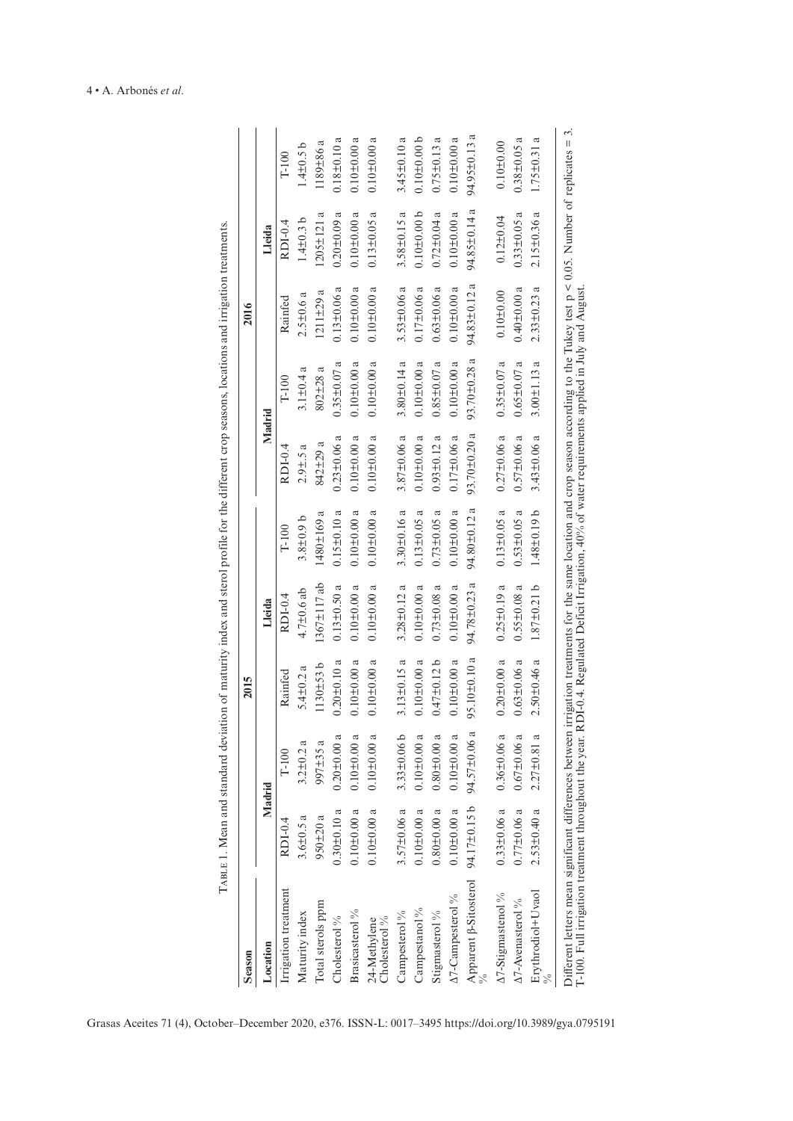| <b>Season</b>                                                                                                                                                                                                                                                                                                                             |                   |                   | 2015               |                    |                      |                    |                      | 2016                          |                          |                          |
|-------------------------------------------------------------------------------------------------------------------------------------------------------------------------------------------------------------------------------------------------------------------------------------------------------------------------------------------|-------------------|-------------------|--------------------|--------------------|----------------------|--------------------|----------------------|-------------------------------|--------------------------|--------------------------|
| Location                                                                                                                                                                                                                                                                                                                                  | Madrid            |                   |                    | Lleida             |                      | Madrid             |                      |                               | Lleida                   |                          |
| Irrigation treatment                                                                                                                                                                                                                                                                                                                      | RDI-0.4           | $T-100$           | Rainfed            | RDI-0.4            | $T-100$              | RDI-0.4            | $T-100$              | Rainfed                       | RDI-0.4                  | $T-100$                  |
| Maturity index                                                                                                                                                                                                                                                                                                                            | $3.6 \pm 0.5$ a   | $3.2 \pm 0.2$ a   | 5.4 $\pm$ 0.2 a    | $4.7 \pm 0.6$ ab   | $3.8 + 0.9$ b        | $2.9 \pm .5$ a     | ದ<br>$3.1 \pm 0.4$   | $2.5 \pm 0.6$ a               | $1.4 \pm 0.3$ b          | $1.4 \pm 0.5$ b          |
| Total sterols ppm                                                                                                                                                                                                                                                                                                                         | $950 \pm 20$ a    | $997 \pm 35$ a    | $1130 \pm 53 b$    | $1367 \pm 117$ ab  | ದ<br>1480±169        | $842 \pm 29$ a     | ದ<br>802±28          | ದ<br>$1211 \pm 29$            | $1205 \pm 121$ a         | 1189±86 a                |
| Cholesterol%                                                                                                                                                                                                                                                                                                                              | $0.30 \pm 0.10$ a | $0.20 \pm 0.00$ a | $0.20 \pm 0.10$ a  | $0.13 \pm 0.50$ a  | $0.15 \pm 0.10$ a    | $0.23 \pm 0.06$ a  | ದ<br>$0.35 \pm 0.07$ | $0.13 \pm 0.06$ a             | $0.20 \pm 0.09$ a        | $0.18 + 0.10a$           |
| Brasica<br>sterol $\%$                                                                                                                                                                                                                                                                                                                    | $0.10 \pm 0.00$ a | $0.10 + 0.00$ a   | $0.10 \pm 0.00$ a  | $0.10 \pm 0.00$ a  | $0.10 \pm 0.00$ a    | $0.10 \pm 0.00$ a  | $0.10 \pm 0.00$ a    | $0.10 \pm 0.00$ a             | $0.10 \pm 0.00$ a        | $0.10 \pm 0.00$ a        |
| Cholesterol <sup>9</sup> / <sub>0</sub><br>24-Methylene                                                                                                                                                                                                                                                                                   | $0.10 \pm 0.00$ a | $0.10 \pm 0.00$ a | $0.10 \pm 0.00$ a  | $0.10 \pm 0.00$ a  | $0.10 \pm 0.00$ a    | $0.10 \pm 0.00$ a  | $0.10 \pm 0.00$ a    | $0.10 \pm 0.00$ a             | $0.13 \pm 0.05$ a        | $0.10 \pm 0.00 a$        |
| Campesterol $\%$                                                                                                                                                                                                                                                                                                                          | $3.57 \pm 0.06$ a | $3.33\pm0.06$ b   | $3.13 \pm 0.15$ a  | $3.28 \pm 0.12$ a  | $3.30 \pm 0.16$ a    | $3.87 \pm 0.06$ a  | ದ<br>$3.80 \pm 0.14$ | $3.53 \pm 0.06$ a             | $3.58 \pm 0.15$ a        | $3.45 \pm 0.10$ a        |
| Campestanol <sup>9</sup> / <sub>0</sub>                                                                                                                                                                                                                                                                                                   | $0.10 + 0.00$ a   | $0.10 + 0.00$ a   | $0.10 \pm 0.00$ a  | $0.10 \pm 0.00$ a  | ದ<br>$0.13 \pm 0.05$ | $0.10 \pm 0.00$ a  | $0.10 \pm 0.00$ a    | $0.17 \pm 0.06$ a             | 0.101000                 | 0.1010.006               |
| Stigmasterol %                                                                                                                                                                                                                                                                                                                            | $0.80 \pm 0.00$ a | $0.80 \pm 0.00$ a | $0.47 + 0.12$ b    | $0.73 \pm 0.08$ a  | $0.73 \pm 0.05$ a    | $0.93 \pm 0.12$ a  | ದ<br>$0.85 \pm 0.07$ | $0.63 \pm 0.06$ a             | $0.72 \pm 0.04$ a        | $0.75 \pm 0.13$ a        |
| A7-Campesterol %                                                                                                                                                                                                                                                                                                                          | $0.10 + 0.00$ a   | $0.10 + 0.00$ a   | $0.10 \pm 0.00$ a  | $0.10 + 0.00$      | $0.10 \pm 0.00$ a    | $0.17\pm0.06$ a    | ß<br>$0.10 + 0.00$   | $0.10 \pm 0.00$ a             | $0.10 \pm 0.00$ a        | $0.10 \pm 0.00$ a        |
| Apparent $\beta$ -Sitosterol                                                                                                                                                                                                                                                                                                              | 94.17±0.15 b      | 94.57±0.06 a      | $95.10 \pm 0.10 a$ | 94.78 $\pm$ 0.23 a | 94.80±0.12 a         | $93.70 \pm 0.20$ a | 93.70 $\pm$ 0.28 a   | 94.83±0.12 a                  | $\epsilon$<br>94.85±0.14 | $\epsilon$<br>94.95±0.13 |
| A7-Stigmastenol %                                                                                                                                                                                                                                                                                                                         | $0.33 \pm 0.06$ a | $0.36 \pm 0.06$ a | $0.20 \pm 0.00$ a  | $0.25 \pm 0.19$ a  | $0.13 \pm 0.05$ a    | $0.27 \pm 0.06$ a  | ß<br>$0.35 \pm 0.07$ | $0.10 \pm 0.00$               | $0.12 \pm 0.04$          | $0.10 + 0.00$            |
| A7-Avenasterol %                                                                                                                                                                                                                                                                                                                          | $0.77 \pm 0.06$ a | $0.67 \pm 0.06$ a | $0.63 \pm 0.06$ a  | $0.55 \pm 0.08$ a  | $0.53 \pm 0.05$ a    | $0.57\pm0.06$ a    | ß<br>$0.65 \pm 0.07$ | $0.40 \pm 0.00$ a             | $0.33 \pm 0.05$ a        | $0.38 \pm 0.05$ a        |
| Erythrodiol+Uvaol                                                                                                                                                                                                                                                                                                                         | $2.53 \pm 0.40$ a | $2.27 \pm 0.81$ a | $2.50 \pm 0.46$ a  | $1.87 \pm 0.21$ b  | $1.48 \pm 0.19$ b    | $3.43 \pm 0.06$ a  | ದ<br>$3.00 \pm 1.13$ | $\epsilon$<br>$2.33 \pm 0.23$ | $2.15 \pm 0.36$ a        | $1.75 \pm 0.31$ a        |
| Different letters mean significant differences between irrigation treatments for the same location and crop season according to the Tukey test $p \le 0.05$ . Number of replicates =<br>T-100. Full irrigation treatment throughout the year. RD1-0.4. Regulated Deficit Irrigation, 40% of water requirements applied in July and August |                   |                   |                    |                    |                      |                    |                      |                               |                          | س                        |

TABLE 1. Mean and standard deviation of maturity index and sterol profile for the different crop seasons, locations and irrigation treatments. Table 1. Mean and standard deviation of maturity index and sterol profile for the different crop seasons, locations and irrigation treatments.

Grasas Aceites 71 (4), October–December 2020, e376. ISSN-L: 0017–3495 <https://doi.org/10.3989/gya.0795191>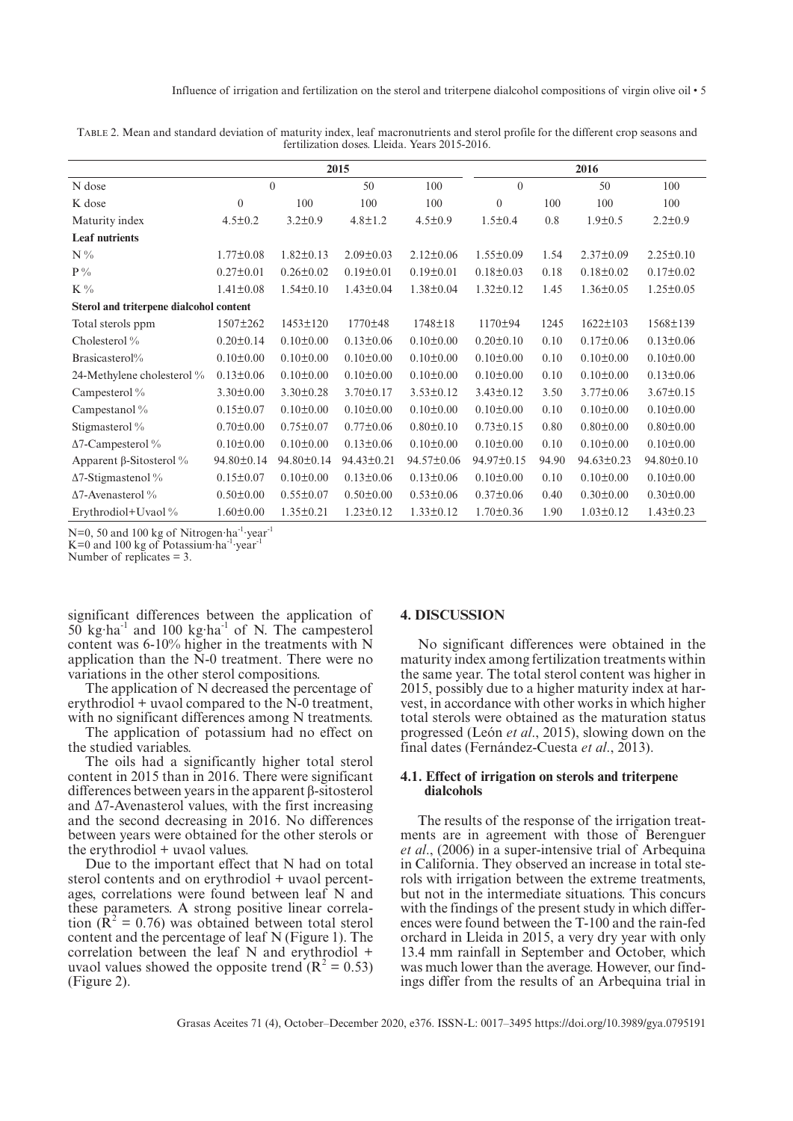|                                         |                 |                 | 2015            |                 |                 |       | 2016             |                  |
|-----------------------------------------|-----------------|-----------------|-----------------|-----------------|-----------------|-------|------------------|------------------|
| N dose                                  |                 | $\theta$        | 50              | 100             | $\Omega$        |       | 50               | 100              |
| K dose                                  | $\mathbf{0}$    | 100             | 100             | 100             | $\theta$        | 100   | 100              | 100              |
| Maturity index                          | $4.5 \pm 0.2$   | $3.2 \pm 0.9$   | $4.8 \pm 1.2$   | $4.5 \pm 0.9$   | $1.5 \pm 0.4$   | 0.8   | $1.9 \pm 0.5$    | $2.2 \pm 0.9$    |
| <b>Leaf nutrients</b>                   |                 |                 |                 |                 |                 |       |                  |                  |
| $N\%$                                   | $1.77 \pm 0.08$ | $1.82 \pm 0.13$ | $2.09 \pm 0.03$ | $2.12 \pm 0.06$ | $1.55 \pm 0.09$ | 1.54  | $2.37 \pm 0.09$  | $2.25 \pm 0.10$  |
| $P\%$                                   | $0.27 \pm 0.01$ | $0.26 \pm 0.02$ | $0.19 \pm 0.01$ | $0.19 \pm 0.01$ | $0.18 \pm 0.03$ | 0.18  | $0.18 \pm 0.02$  | $0.17 \pm 0.02$  |
| $K\%$                                   | $1.41 \pm 0.08$ | $1.54 \pm 0.10$ | $1.43 \pm 0.04$ | $1.38 \pm 0.04$ | $1.32 \pm 0.12$ | 1.45  | $1.36 \pm 0.05$  | $1.25 \pm 0.05$  |
| Sterol and triterpene dialcohol content |                 |                 |                 |                 |                 |       |                  |                  |
| Total sterols ppm                       | $1507 \pm 262$  | $1453 \pm 120$  | 1770±48         | 1748±18         | 1170±94         | 1245  | $1622 \pm 103$   | 1568±139         |
| Cholesterol %                           | $0.20 \pm 0.14$ | $0.10 \pm 0.00$ | $0.13 \pm 0.06$ | $0.10 \pm 0.00$ | $0.20 \pm 0.10$ | 0.10  | $0.17 \pm 0.06$  | $0.13 \pm 0.06$  |
| Brasicasterol%                          | $0.10 \pm 0.00$ | $0.10 \pm 0.00$ | $0.10 \pm 0.00$ | $0.10 \pm 0.00$ | $0.10 \pm 0.00$ | 0.10  | $0.10 \pm 0.00$  | $0.10 \pm 0.00$  |
| 24-Methylene cholesterol %              | $0.13 \pm 0.06$ | $0.10 \pm 0.00$ | $0.10 \pm 0.00$ | $0.10 \pm 0.00$ | $0.10 \pm 0.00$ | 0.10  | $0.10 \pm 0.00$  | $0.13 \pm 0.06$  |
| Campesterol %                           | $3.30 \pm 0.00$ | $3.30 \pm 0.28$ | $3.70 \pm 0.17$ | $3.53 \pm 0.12$ | $3.43 \pm 0.12$ | 3.50  | $3.77 \pm 0.06$  | $3.67 \pm 0.15$  |
| Campestanol %                           | $0.15 \pm 0.07$ | $0.10 \pm 0.00$ | $0.10 \pm 0.00$ | $0.10 \pm 0.00$ | $0.10 \pm 0.00$ | 0.10  | $0.10 \pm 0.00$  | $0.10 \pm 0.00$  |
| Stigmasterol %                          | $0.70 \pm 0.00$ | $0.75 \pm 0.07$ | $0.77 \pm 0.06$ | $0.80 \pm 0.10$ | $0.73 \pm 0.15$ | 0.80  | $0.80 \pm 0.00$  | $0.80 \pm 0.00$  |
| $\Delta$ 7-Campesterol %                | $0.10 \pm 0.00$ | $0.10 \pm 0.00$ | $0.13 \pm 0.06$ | $0.10 \pm 0.00$ | $0.10 \pm 0.00$ | 0.10  | $0.10 \pm 0.00$  | $0.10 \pm 0.00$  |
| Apparent $\beta$ -Sitosterol %          | 94.80±0.14      | 94.80±0.14      | 94.43±0.21      | 94.57±0.06      | 94.97±0.15      | 94.90 | $94.63 \pm 0.23$ | $94.80 \pm 0.10$ |
| $\Delta$ 7-Stigmastenol %               | $0.15 \pm 0.07$ | $0.10 \pm 0.00$ | $0.13 \pm 0.06$ | $0.13 \pm 0.06$ | $0.10 \pm 0.00$ | 0.10  | $0.10 \pm 0.00$  | $0.10 \pm 0.00$  |
| Δ7-Avenasterol%                         | $0.50 \pm 0.00$ | $0.55 \pm 0.07$ | $0.50 \pm 0.00$ | $0.53 \pm 0.06$ | $0.37 \pm 0.06$ | 0.40  | $0.30 \pm 0.00$  | $0.30 \pm 0.00$  |
| Erythrodiol+Uvaol %                     | $1.60 \pm 0.00$ | $1.35 \pm 0.21$ | $1.23 \pm 0.12$ | $1.33 \pm 0.12$ | $1.70 \pm 0.36$ | 1.90  | $1.03 \pm 0.12$  | $1.43 \pm 0.23$  |

Table 2. Mean and standard deviation of maturity index, leaf macronutrients and sterol profile for the different crop seasons and fertilization doses. Lleida. Years 2015-2016.

N=0, 50 and 100 kg of Nitrogen·ha<sup>-1</sup>·year<sup>-1</sup>  $K=0$  and 100 kg of Potassium ha<sup>-1</sup> year-

Number of replicates = 3.

significant differences between the application of  $50 \text{ kg} \cdot \text{ha}^{-1}$  and  $100 \text{ kg} \cdot \text{ha}^{-1}$  of N. The campesterol content was 6-10% higher in the treatments with N application than the N-0 treatment. There were no variations in the other sterol compositions.

The application of N decreased the percentage of erythrodiol + uvaol compared to the N-0 treatment, with no significant differences among N treatments.

The application of potassium had no effect on the studied variables.

The oils had a significantly higher total sterol content in 2015 than in 2016. There were significant differences between years in the apparent β-sitosterol and  $\Delta$ 7-Avenasterol values, with the first increasing and the second decreasing in 2016. No differences between years were obtained for the other sterols or the erythrodiol + uvaol values.

Due to the important effect that N had on total sterol contents and on erythrodiol + uvaol percentages, correlations were found between leaf N and these parameters. A strong positive linear correlation  $(\mathbf{R}^2 = 0.76)$  was obtained between total sterol content and the percentage of leaf N (Figure 1). The correlation between the leaf N and erythrodiol + uvaol values showed the opposite trend  $(R^2 = 0.53)$ (Figure 2).

#### **4. DISCUSSION**

No significant differences were obtained in the maturity index among fertilization treatments within the same year. The total sterol content was higher in 2015, possibly due to a higher maturity index at harvest, in accordance with other works in which higher total sterols were obtained as the maturation status progressed (León *et al*., 2015), slowing down on the final dates (Fernández-Cuesta *et al*., 2013).

## **4.1. Effect of irrigation on sterols and triterpene dialcohols**

The results of the response of the irrigation treatments are in agreement with those of Berenguer *et al*., (2006) in a super-intensive trial of Arbequina in California. They observed an increase in total sterols with irrigation between the extreme treatments, but not in the intermediate situations. This concurs with the findings of the present study in which differences were found between the T-100 and the rain-fed orchard in Lleida in 2015, a very dry year with only 13.4 mm rainfall in September and October, which was much lower than the average. However, our findings differ from the results of an Arbequina trial in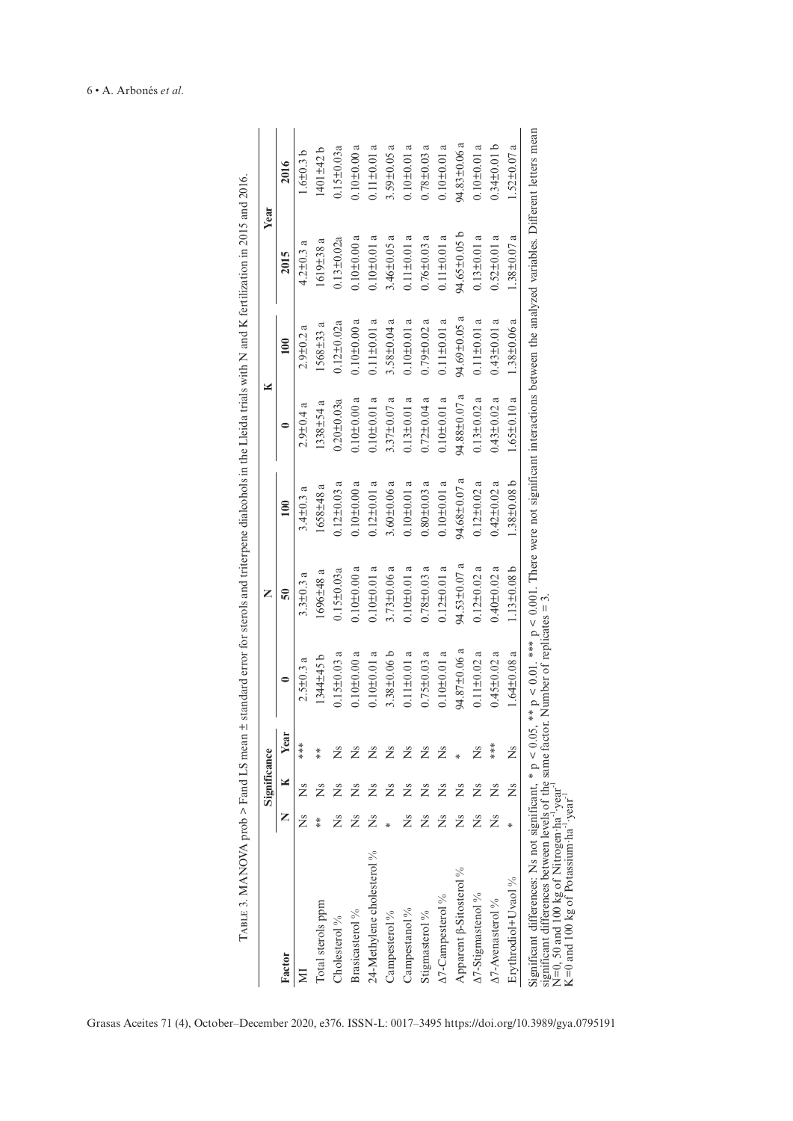|                                                                                                                                                                                                                                                                            |          | Significance |      |                   | Z                 |                   |                   | ×                 | Year                                                                                                                       |                   |
|----------------------------------------------------------------------------------------------------------------------------------------------------------------------------------------------------------------------------------------------------------------------------|----------|--------------|------|-------------------|-------------------|-------------------|-------------------|-------------------|----------------------------------------------------------------------------------------------------------------------------|-------------------|
| Factor                                                                                                                                                                                                                                                                     | Z        | ×            | Year |                   | $\overline{50}$   | $\approx$         |                   | $\mathbf{e}$      | 2015                                                                                                                       | 2016              |
| $\Xi$                                                                                                                                                                                                                                                                      | Ž        | ž            | ***  | $2.5 \pm 0.3$ a   | $3.3 \pm 0.3$ a   | $3.4 \pm 0.3$ a   | $2.9 \pm 0.4$ a   | $2.9 + 0.2a$      | $4.2 \pm 0.3$ a                                                                                                            | $1.6 + 0.3$ b     |
| Total sterols ppm                                                                                                                                                                                                                                                          | $**\ast$ | Ž            | $*$  | $1344 \pm 45$ b   | $1696 \pm 48$ a   | $1658 \pm 48$ a   | $1338 + 54a$      | $1568 \pm 33$ a   | $1619 \pm 38a$                                                                                                             | $1401 \pm 42$ b   |
| Cholesterol %                                                                                                                                                                                                                                                              | Ž        | Ž            | ž    | $0.15 \pm 0.03$ a | $0.15 \pm 0.03a$  | $0.12 \pm 0.03$ a | $0.20 \pm 0.03a$  | $0.12 \pm 0.02a$  | $0.13 \pm 0.02a$                                                                                                           | $0.15 \pm 0.03a$  |
| Brasica<br>sterol $\%$                                                                                                                                                                                                                                                     | Ž        | ž            | ž    | $0.10 \pm 0.00$ a | $0.10 + 0.00$ a   | $0.10 + 0.00$ a   | $0.10 \pm 0.00$ a | $0.10 \pm 0.00$ a | $0.10 + 0.00$ a                                                                                                            | $0.10 \pm 0.00$ a |
| 24-Methylene cholesterol %                                                                                                                                                                                                                                                 | Ž        | ž            | ž    | $0.10 \pm 0.01$ a | $0.10 + 0.01$ a   | $0.12 \pm 0.01$ a | $0.10 \pm 0.01$ a | $0.11 \pm 0.01$ a | $0.10 + 0.01 a$                                                                                                            | $0.11 \pm 0.01$ a |
| Campesterol <sup>9</sup> %                                                                                                                                                                                                                                                 |          | ž            | Ž    | $3.38 + 0.06$ b   | $3.73 \pm 0.06$ a | $3.60 \pm 0.06$ a | $3.37 \pm 0.07$ a | $3.58 \pm 0.04$ a | $3.46 \pm 0.05$ a                                                                                                          | $3.59 \pm 0.05$ a |
| Campestanol <sup>9</sup> %                                                                                                                                                                                                                                                 | Ž        | ž            | Ž    | $0.11 \pm 0.01$ a | $0.10 + 0.01 a$   | $0.10 \pm 0.01$ a | $0.13 \pm 0.01$ a | $0.10 \pm 0.01$ a | $0.11 \pm 0.01$ a                                                                                                          | $0.10 \pm 0.01$ a |
| Stigmasterol %                                                                                                                                                                                                                                                             | Ž        | Ž            | ž    | $0.75 \pm 0.03$ a | $0.78 + 0.03$ a   | $0.80 \pm 0.03$ a | $0.72 \pm 0.04$ a | $0.79 \pm 0.02$ a | $0.76 \pm 0.03$ a                                                                                                          | $0.78 + 0.03$ a   |
| A7-Campesterol %                                                                                                                                                                                                                                                           | Ž        |              | ž    | $0.10 \pm 0.01$ a | $0.12 \pm 0.01$ a | $0.10 + 0.01$ a   | $0.10 \pm 0.01$ a | $0.11 \pm 0.01$ a | $0.11 \pm 0.01$ a                                                                                                          | $0.10 + 0.01$ a   |
| Apparent $\beta$ -Sitosterol %                                                                                                                                                                                                                                             | Ž        | ž            |      | 94.87±0.06 a      | 94.53±0.07 a      | 94.68±0.07 a      | 94.88±0.07 a      | 94.69±0.05 a      | 94.65±0.05 b                                                                                                               | 94.83±0.06 a      |
| $\Delta$ 7-Stigmastenol %                                                                                                                                                                                                                                                  | Ž        | ž            |      | $0.11 \pm 0.02$ a | $0.12 \pm 0.02$ a | $0.12 \pm 0.02$ a | $0.13 \pm 0.02$ a | $0.11 \pm 0.01$ a | $0.13 \pm 0.01$ a                                                                                                          | $0.10 + 0.01$ a   |
| A7-Avenasterol %                                                                                                                                                                                                                                                           | Ž        | ž            | ***  | $0.45 \pm 0.02$ a | $0.40 \pm 0.02$ a | $0.42 \pm 0.02$ a | $0.43 \pm 0.02$ a | $0.43 \pm 0.01$ a | $0.52 \pm 0.01$ a                                                                                                          | $0.34 \pm 0.01$ b |
| Erythrodiol+Uvaol %                                                                                                                                                                                                                                                        |          | Ž            | Ž    | $1.64 \pm 0.08$ a | $1.13 \pm 0.08$ b | $1.38 \pm 0.08$ b | $1.65 \pm 0.10$ a | $1.38 \pm 0.06$ a | $1.38 \pm 0.07$ a                                                                                                          | $1.52 \pm 0.07$ a |
| significant differences between levels of the same factor. Number of replicates $= 3$ .<br>Significant differences: Ns not significant, $* p < 0.05$ ,<br>$N=0$ , 50 and 100 kg of Nitrogen ha 'year'<br>$K=0$ and 100 kg of Potassium ha <sup>-1</sup> year <sup>-1</sup> |          |              |      |                   |                   |                   |                   |                   | ** p < 0.01. *** p < 0.001. There were not significant interactions between the analyzed variables. Different letters mean |                   |

Grasas Aceites 71 (4), October–December 2020, e376. ISSN-L: 0017–3495 <https://doi.org/10.3989/gya.0795191>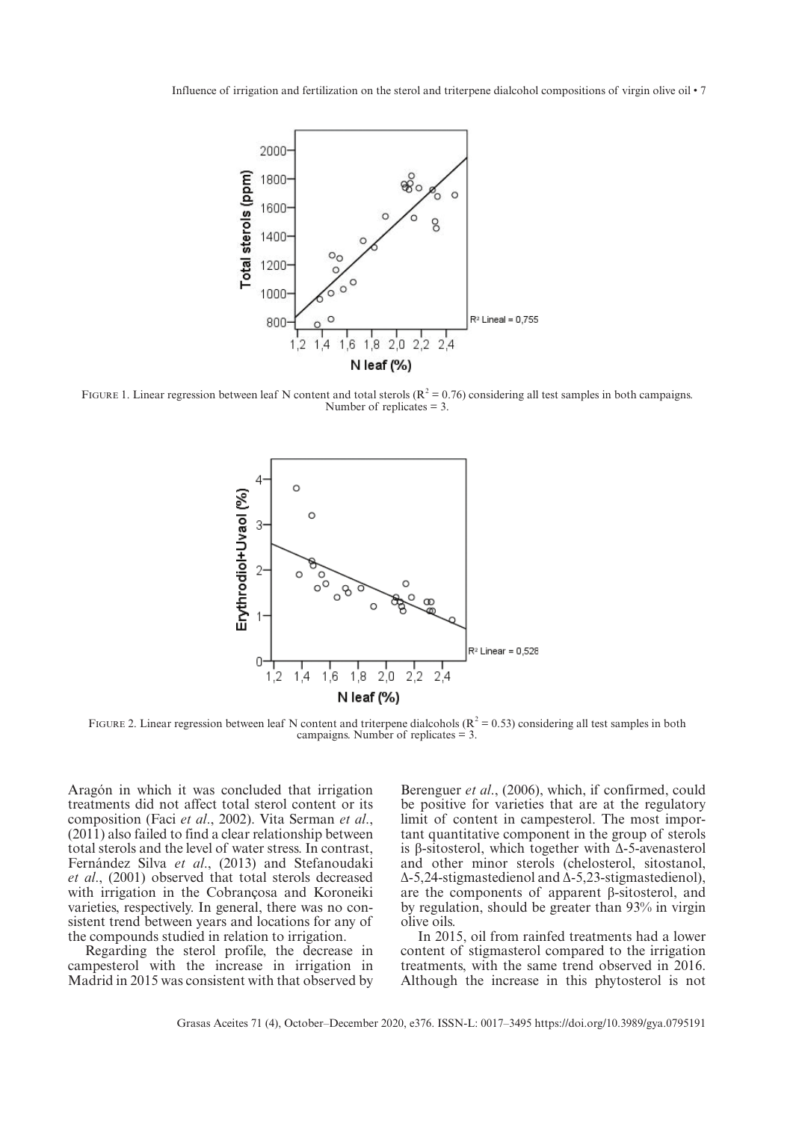Influence of irrigation and fertilization on the sterol and triterpene dialcohol compositions of virgin olive oil • 7



FIGURE 1. Linear regression between leaf N content and total sterols ( $R^2 = 0.76$ ) considering all test samples in both campaigns. Number of replicates = 3.



FIGURE 2. Linear regression between leaf N content and triterpene dialcohols ( $R^2 = 0.53$ ) considering all test samples in both campaigns. Number of replicates = 3.

Aragón in which it was concluded that irrigation treatments did not affect total sterol content or its composition (Faci *et al*., 2002). Vita Serman *et al*., (2011) also failed to find a clear relationship between total sterols and the level of water stress. In contrast, Fernández Silva *et al*., (2013) and Stefanoudaki *et al*., (2001) observed that total sterols decreased with irrigation in the Cobrançosa and Koroneiki varieties, respectively. In general, there was no consistent trend between years and locations for any of the compounds studied in relation to irrigation.

Regarding the sterol profile, the decrease in campesterol with the increase in irrigation in Madrid in 2015 was consistent with that observed by

Berenguer *et al*., (2006), which, if confirmed, could be positive for varieties that are at the regulatory limit of content in campesterol. The most important quantitative component in the group of sterols is β-sitosterol, which together with Δ-5-avenasterol and other minor sterols (chelosterol, sitostanol, Δ-5,24-stigmastedienol and Δ-5,23-stigmastedienol), are the components of apparent β-sitosterol, and by regulation, should be greater than 93% in virgin olive oils.

In 2015, oil from rainfed treatments had a lower content of stigmasterol compared to the irrigation treatments, with the same trend observed in 2016. Although the increase in this phytosterol is not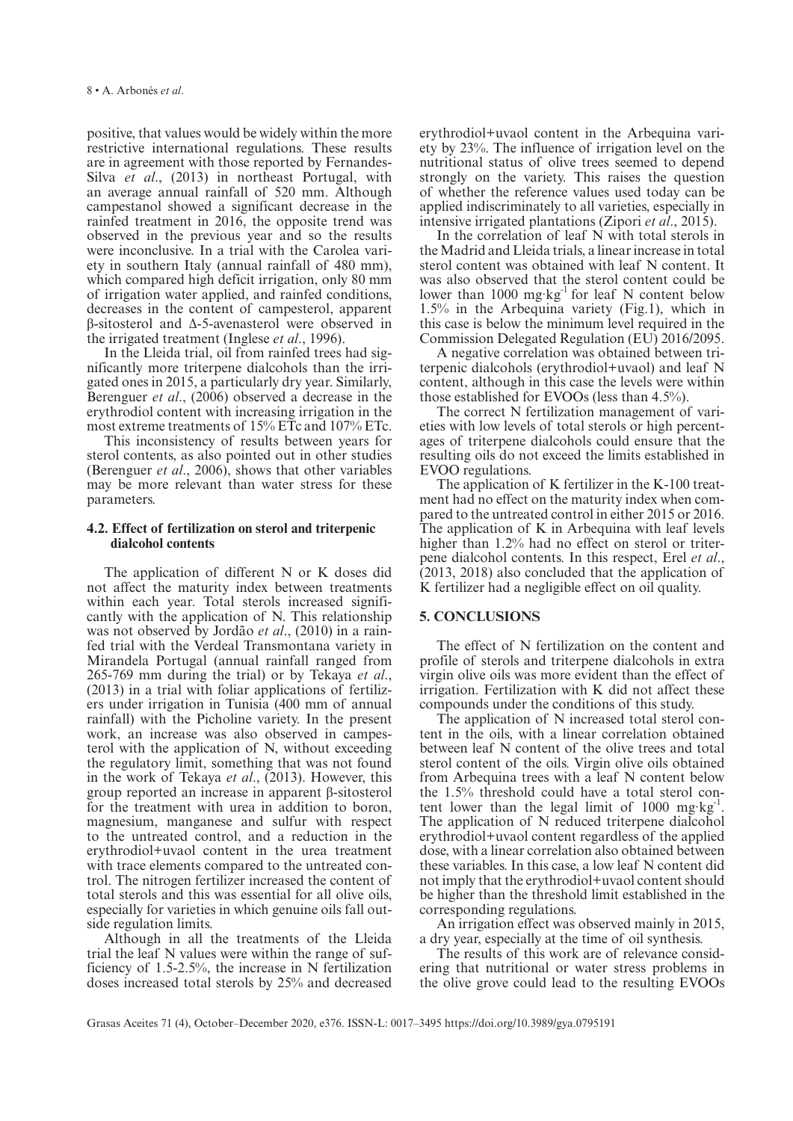positive, that values would be widely within the more restrictive international regulations. These results are in agreement with those reported by Fernandes-Silva *et al*., (2013) in northeast Portugal, with an average annual rainfall of 520 mm. Although campestanol showed a significant decrease in the rainfed treatment in 2016, the opposite trend was observed in the previous year and so the results were inconclusive. In a trial with the Carolea variety in southern Italy (annual rainfall of 480 mm), which compared high deficit irrigation, only 80 mm of irrigation water applied, and rainfed conditions, decreases in the content of campesterol, apparent β-sitosterol and Δ-5-avenasterol were observed in the irrigated treatment (Inglese *et al*., 1996).

In the Lleida trial, oil from rainfed trees had significantly more triterpene dialcohols than the irrigated ones in 2015, a particularly dry year. Similarly, Berenguer *et al*., (2006) observed a decrease in the erythrodiol content with increasing irrigation in the most extreme treatments of 15% ETc and 107% ETc.

This inconsistency of results between years for sterol contents, as also pointed out in other studies (Berenguer *et al*., 2006), shows that other variables may be more relevant than water stress for these parameters.

## **4.2. Effect of fertilization on sterol and triterpenic dialcohol contents**

The application of different N or K doses did not affect the maturity index between treatments within each year. Total sterols increased significantly with the application of N. This relationship was not observed by Jordão *et al*., (2010) in a rainfed trial with the Verdeal Transmontana variety in Mirandela Portugal (annual rainfall ranged from 265-769 mm during the trial) or by Tekaya *et al*., (2013) in a trial with foliar applications of fertilizers under irrigation in Tunisia (400 mm of annual rainfall) with the Picholine variety. In the present work, an increase was also observed in campesterol with the application of N, without exceeding the regulatory limit, something that was not found in the work of Tekaya *et al*., (2013). However, this group reported an increase in apparent β-sitosterol for the treatment with urea in addition to boron, magnesium, manganese and sulfur with respect to the untreated control, and a reduction in the erythrodiol+uvaol content in the urea treatment with trace elements compared to the untreated control. The nitrogen fertilizer increased the content of total sterols and this was essential for all olive oils, especially for varieties in which genuine oils fall outside regulation limits.

Although in all the treatments of the Lleida trial the leaf N values were within the range of sufficiency of 1.5-2.5%, the increase in N fertilization doses increased total sterols by 25% and decreased

erythrodiol+uvaol content in the Arbequina variety by 23%. The influence of irrigation level on the nutritional status of olive trees seemed to depend strongly on the variety. This raises the question of whether the reference values used today can be applied indiscriminately to all varieties, especially in intensive irrigated plantations (Zipori *et al*., 2015).

In the correlation of leaf N with total sterols in the Madrid and Lleida trials, a linear increase in total sterol content was obtained with leaf N content. It was also observed that the sterol content could be lower than  $1000 \text{ mg} \cdot \text{kg}^{-1}$  for leaf N content below 1.5% in the Arbequina variety (Fig.1), which in this case is below the minimum level required in the Commission Delegated Regulation (EU) 2016/2095.

A negative correlation was obtained between triterpenic dialcohols (erythrodiol+uvaol) and leaf N content, although in this case the levels were within those established for EVOOs (less than 4.5%).

The correct N fertilization management of varieties with low levels of total sterols or high percentages of triterpene dialcohols could ensure that the resulting oils do not exceed the limits established in EVOO regulations.

The application of K fertilizer in the K-100 treatment had no effect on the maturity index when compared to the untreated control in either 2015 or 2016. The application of K in Arbequina with leaf levels higher than 1.2% had no effect on sterol or triterpene dialcohol contents. In this respect, Erel *et al*., (2013, 2018) also concluded that the application of K fertilizer had a negligible effect on oil quality.

## **5. CONCLUSIONS**

The effect of N fertilization on the content and profile of sterols and triterpene dialcohols in extra virgin olive oils was more evident than the effect of irrigation. Fertilization with K did not affect these compounds under the conditions of this study.

The application of N increased total sterol content in the oils, with a linear correlation obtained between leaf N content of the olive trees and total sterol content of the oils. Virgin olive oils obtained from Arbequina trees with a leaf N content below the 1.5% threshold could have a total sterol content lower than the legal limit of  $1000$  mg·kg<sup>-1</sup>. The application of N reduced triterpene dialcohol erythrodiol+uvaol content regardless of the applied dose, with a linear correlation also obtained between these variables. In this case, a low leaf N content did not imply that the erythrodiol+uvaol content should be higher than the threshold limit established in the corresponding regulations.

An irrigation effect was observed mainly in 2015, a dry year, especially at the time of oil synthesis.

The results of this work are of relevance considering that nutritional or water stress problems in the olive grove could lead to the resulting EVOOs